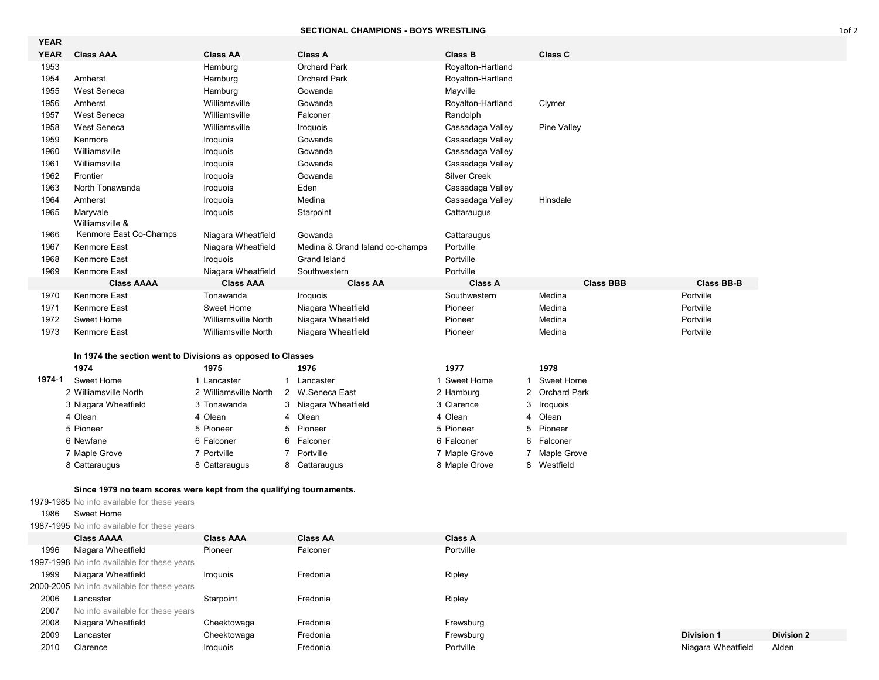## **SECTIONAL CHAMPIONS - BOYS WRESTLING**

| <b>YEAR</b> |                                                             |                            |                                 |                     |                          |                   |
|-------------|-------------------------------------------------------------|----------------------------|---------------------------------|---------------------|--------------------------|-------------------|
| <b>YEAR</b> | <b>Class AAA</b>                                            | <b>Class AA</b>            | <b>Class A</b>                  | <b>Class B</b>      | <b>Class C</b>           |                   |
| 1953        |                                                             | Hamburg                    | <b>Orchard Park</b>             | Royalton-Hartland   |                          |                   |
| 1954        | Amherst                                                     | Hamburg                    | <b>Orchard Park</b>             | Royalton-Hartland   |                          |                   |
| 1955        | West Seneca                                                 | Hamburg                    | Gowanda                         | Mayville            |                          |                   |
| 1956        | Amherst                                                     | Williamsville              | Gowanda                         | Royalton-Hartland   | Clymer                   |                   |
| 1957        | West Seneca                                                 | Williamsville              | Falconer                        | Randolph            |                          |                   |
| 1958        | West Seneca                                                 | Williamsville              | Iroquois                        | Cassadaga Valley    | Pine Valley              |                   |
| 1959        | Kenmore                                                     | Iroquois                   | Gowanda                         | Cassadaga Valley    |                          |                   |
| 1960        | Williamsville                                               | Iroquois                   | Gowanda                         | Cassadaga Valley    |                          |                   |
| 1961        | Williamsville                                               | Iroquois                   | Gowanda                         | Cassadaga Valley    |                          |                   |
| 1962        | Frontier                                                    | Iroquois                   | Gowanda                         | <b>Silver Creek</b> |                          |                   |
| 1963        | North Tonawanda                                             | Iroquois                   | Eden                            | Cassadaga Valley    |                          |                   |
| 1964        | Amherst                                                     | Iroquois                   | Medina                          | Cassadaga Valley    | Hinsdale                 |                   |
| 1965        | Maryvale                                                    | Iroquois                   | Starpoint                       | Cattaraugus         |                          |                   |
|             | Williamsville &                                             |                            |                                 |                     |                          |                   |
| 1966        | Kenmore East Co-Champs                                      | Niagara Wheatfield         | Gowanda                         | Cattaraugus         |                          |                   |
| 1967        | Kenmore East                                                | Niagara Wheatfield         | Medina & Grand Island co-champs | Portville           |                          |                   |
| 1968        | Kenmore East                                                | Iroquois                   | Grand Island                    | Portville           |                          |                   |
| 1969        | <b>Kenmore East</b>                                         | Niagara Wheatfield         | Southwestern                    | Portville           |                          |                   |
|             | <b>Class AAAA</b>                                           | <b>Class AAA</b>           | <b>Class AA</b>                 | <b>Class A</b>      | <b>Class BBB</b>         | <b>Class BB-B</b> |
| 1970        | <b>Kenmore East</b>                                         | Tonawanda                  | Iroquois                        | Southwestern        | Medina                   | Portville         |
| 1971        | Kenmore East                                                | Sweet Home                 | Niagara Wheatfield              | Pioneer             | Medina                   | Portville         |
| 1972        | Sweet Home                                                  | <b>Williamsville North</b> | Niagara Wheatfield              | Pioneer             | Medina                   | Portville         |
| 1973        | <b>Kenmore East</b>                                         | <b>Williamsville North</b> | Niagara Wheatfield              | Pioneer             | Medina                   | Portville         |
|             |                                                             |                            |                                 |                     |                          |                   |
|             | In 1974 the section went to Divisions as opposed to Classes |                            |                                 |                     |                          |                   |
|             | 1974                                                        | 1975                       | 1976                            | 1977                | 1978                     |                   |
| 1974-1      | Sweet Home                                                  | 1 Lancaster                | 1 Lancaster                     | 1 Sweet Home        | Sweet Home               |                   |
|             | 2 Williamsville North                                       | 2 Williamsville North      | 2 W.Seneca East                 | 2 Hamburg           | <b>Orchard Park</b><br>2 |                   |
|             | 3 Niagara Wheatfield                                        | 3 Tonawanda                | 3 Niagara Wheatfield            | 3 Clarence          | 3<br>Iroquois            |                   |
|             | 4 Olean                                                     | 4 Olean                    | 4 Olean                         | 4 Olean             | Olean<br>4               |                   |
|             | 5 Pioneer                                                   | 5 Pioneer                  | Pioneer<br>5                    | 5 Pioneer           | 5<br>Pioneer             |                   |
|             | 6 Newfane                                                   | 6 Falconer                 | 6<br>Falconer                   | 6 Falconer          | 6<br>Falconer            |                   |

## **Since 1979 no team scores were kept from the qualifying tournaments.**

 Maple Grove 7 Portville 7 Portville 7 Maple Grove 7 Maple Grove Cattaraugus 8 Cattaraugus 8 Cattaraugus 8 Maple Grove 8 Westfield

1979-1985 No info available for these years

## Sweet Home

1987-1995 No info available for these years

|      | <b>Class AAAA</b>                           | <b>Class AAA</b> | <b>Class AA</b> | <b>Class A</b> |                    |                   |
|------|---------------------------------------------|------------------|-----------------|----------------|--------------------|-------------------|
| 1996 | Niagara Wheatfield                          | Pioneer          | Falconer        | Portville      |                    |                   |
|      | 1997-1998 No info available for these years |                  |                 |                |                    |                   |
| 1999 | Niagara Wheatfield                          | Iroquois         | Fredonia        | Ripley         |                    |                   |
|      | 2000-2005 No info available for these years |                  |                 |                |                    |                   |
| 2006 | Lancaster                                   | Starpoint        | Fredonia        | Ripley         |                    |                   |
| 2007 | No info available for these years           |                  |                 |                |                    |                   |
| 2008 | Niagara Wheatfield                          | Cheektowaga      | Fredonia        | Frewsburg      |                    |                   |
| 2009 | Lancaster                                   | Cheektowaga      | Fredonia        | Frewsburg      | <b>Division 1</b>  | <b>Division 2</b> |
| 2010 | Clarence                                    | Iroguois         | Fredonia        | Portville      | Niagara Wheatfield | Alden             |